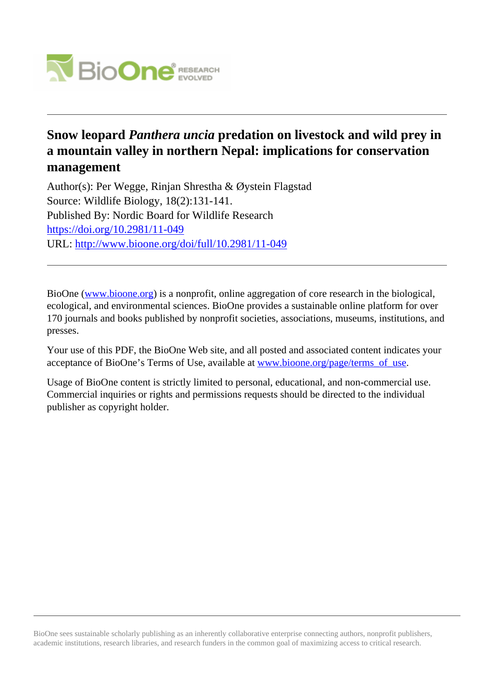

# **Snow leopard** *Panthera uncia* **predation on livestock and wild prey in a mountain valley in northern Nepal: implications for conservation management**

Author(s): Per Wegge, Rinjan Shrestha & Øystein Flagstad Source: Wildlife Biology, 18(2):131-141. Published By: Nordic Board for Wildlife Research <https://doi.org/10.2981/11-049> URL: <http://www.bioone.org/doi/full/10.2981/11-049>

BioOne [\(www.bioone.org\)](http://www.bioone.org) is a nonprofit, online aggregation of core research in the biological, ecological, and environmental sciences. BioOne provides a sustainable online platform for over 170 journals and books published by nonprofit societies, associations, museums, institutions, and presses.

Your use of this PDF, the BioOne Web site, and all posted and associated content indicates your acceptance of BioOne's Terms of Use, available at [www.bioone.org/page/terms\\_of\\_use.](http://www.bioone.org/page/terms_of_use)

Usage of BioOne content is strictly limited to personal, educational, and non-commercial use. Commercial inquiries or rights and permissions requests should be directed to the individual publisher as copyright holder.

BioOne sees sustainable scholarly publishing as an inherently collaborative enterprise connecting authors, nonprofit publishers, academic institutions, research libraries, and research funders in the common goal of maximizing access to critical research.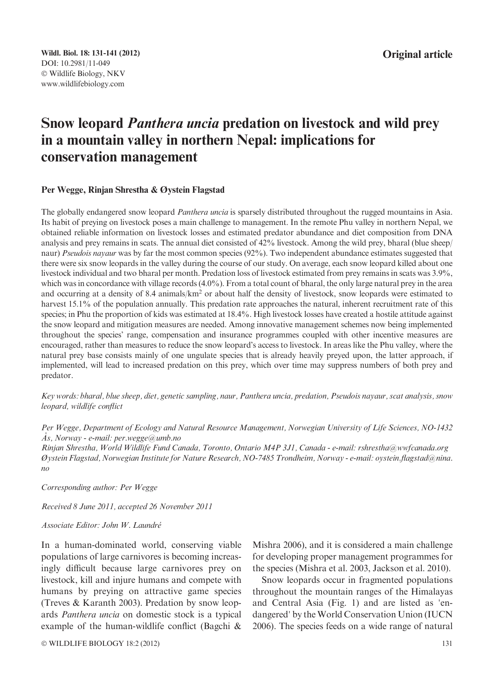# Snow leopard Panthera uncia predation on livestock and wild prey in a mountain valley in northern Nepal: implications for conservation management

#### Per Wegge, Rinjan Shrestha & Øystein Flagstad

The globally endangered snow leopard *Panthera uncia* is sparsely distributed throughout the rugged mountains in Asia. Its habit of preying on livestock poses a main challenge to management. In the remote Phu valley in northern Nepal, we obtained reliable information on livestock losses and estimated predator abundance and diet composition from DNA analysis and prey remains in scats. The annual diet consisted of 42% livestock. Among the wild prey, bharal (blue sheep/ naur) Pseudois nayaur was by far the most common species (92%). Two independent abundance estimates suggested that there were six snow leopards in the valley during the course of our study. On average, each snow leopard killed about one livestock individual and two bharal per month. Predation loss of livestock estimated from prey remains in scats was 3.9%, which was in concordance with village records (4.0%). From a total count of bharal, the only large natural prey in the area and occurring at a density of 8.4 animals/km<sup>2</sup> or about half the density of livestock, snow leopards were estimated to harvest 15.1% of the population annually. This predation rate approaches the natural, inherent recruitment rate of this species; in Phu the proportion of kids was estimated at 18.4%. High livestock losses have created a hostile attitude against the snow leopard and mitigation measures are needed. Among innovative management schemes now being implemented throughout the species' range, compensation and insurance programmes coupled with other incentive measures are encouraged, rather than measures to reduce the snow leopard's access to livestock. In areas like the Phu valley, where the natural prey base consists mainly of one ungulate species that is already heavily preyed upon, the latter approach, if implemented, will lead to increased predation on this prey, which over time may suppress numbers of both prey and predator.

Key words: bharal, blue sheep, diet, genetic sampling, naur, Panthera uncia, predation, Pseudois nayaur, scat analysis, snow leopard, wildlife conflict

Per Wegge, Department of Ecology and Natural Resource Management, Norwegian University of Life Sciences, NO-1432  $\r{As},$  Norway - e-mail: per.wegge@umb.no

Rinjan Shrestha, World Wildlife Fund Canada, Toronto, Ontario M4P 3J1, Canada - e-mail: rshrestha@wwfcanada.org Øystein Flagstad, Norwegian Institute for Nature Research, NO-7485 Trondheim, Norway - e-mail: oystein.flagstad@nina. no

Corresponding author: Per Wegge

Received 8 June 2011, accepted 26 November 2011

## Associate Editor: John W. Laundré

In a human-dominated world, conserving viable populations of large carnivores is becoming increasingly difficult because large carnivores prey on livestock, kill and injure humans and compete with humans by preying on attractive game species (Treves & Karanth 2003). Predation by snow leopards Panthera uncia on domestic stock is a typical example of the human-wildlife conflict (Bagchi &

© WILDLIFE BIOLOGY 18:2 (2012) 131

Mishra 2006), and it is considered a main challenge for developing proper management programmes for the species (Mishra et al. 2003, Jackson et al. 2010).

Snow leopards occur in fragmented populations throughout the mountain ranges of the Himalayas and Central Asia (Fig. 1) and are listed as 'endangered' by the World Conservation Union (IUCN 2006). The species feeds on a wide range of natural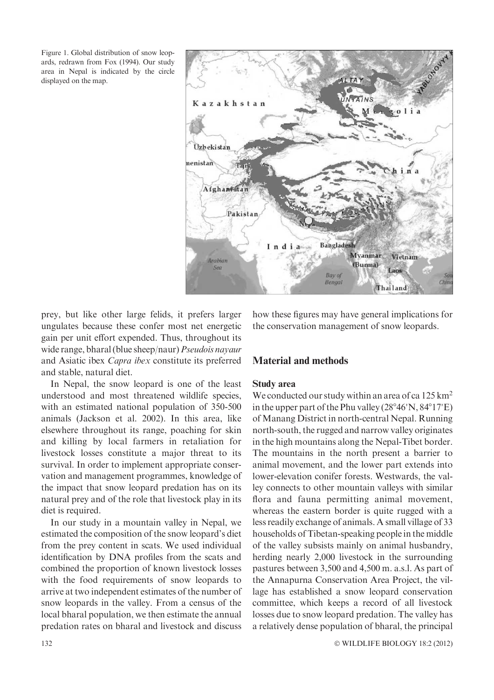Figure 1. Global distribution of snow leopards, redrawn from Fox (1994). Our study area in Nepal is indicated by the circle displayed on the map.



prey, but like other large felids, it prefers larger ungulates because these confer most net energetic gain per unit effort expended. Thus, throughout its wide range, bharal (blue sheep/naur) Pseudois nayaur and Asiatic ibex Capra ibex constitute its preferred and stable, natural diet.

In Nepal, the snow leopard is one of the least understood and most threatened wildlife species, with an estimated national population of 350-500 animals (Jackson et al. 2002). In this area, like elsewhere throughout its range, poaching for skin and killing by local farmers in retaliation for livestock losses constitute a major threat to its survival. In order to implement appropriate conservation and management programmes, knowledge of the impact that snow leopard predation has on its natural prey and of the role that livestock play in its diet is required.

In our study in a mountain valley in Nepal, we estimated the composition of the snow leopard's diet from the prey content in scats. We used individual identification by DNA profiles from the scats and combined the proportion of known livestock losses with the food requirements of snow leopards to arrive at two independent estimates of the number of snow leopards in the valley. From a census of the local bharal population, we then estimate the annual predation rates on bharal and livestock and discuss

how these figures may have general implications for the conservation management of snow leopards.

# Material and methods

## Study area

We conducted our study within an area of ca 125 km<sup>2</sup> in the upper part of the Phu valley  $(28^{\circ}46'N, 84^{\circ}17'E)$ of Manang District in north-central Nepal. Running north-south, the rugged and narrow valley originates in the high mountains along the Nepal-Tibet border. The mountains in the north present a barrier to animal movement, and the lower part extends into lower-elevation conifer forests. Westwards, the valley connects to other mountain valleys with similar flora and fauna permitting animal movement, whereas the eastern border is quite rugged with a less readily exchange of animals. A small village of 33 households of Tibetan-speaking people in the middle of the valley subsists mainly on animal husbandry, herding nearly 2,000 livestock in the surrounding pastures between 3,500 and 4,500 m. a.s.l. As part of the Annapurna Conservation Area Project, the village has established a snow leopard conservation committee, which keeps a record of all livestock losses due to snow leopard predation. The valley has a relatively dense population of bharal, the principal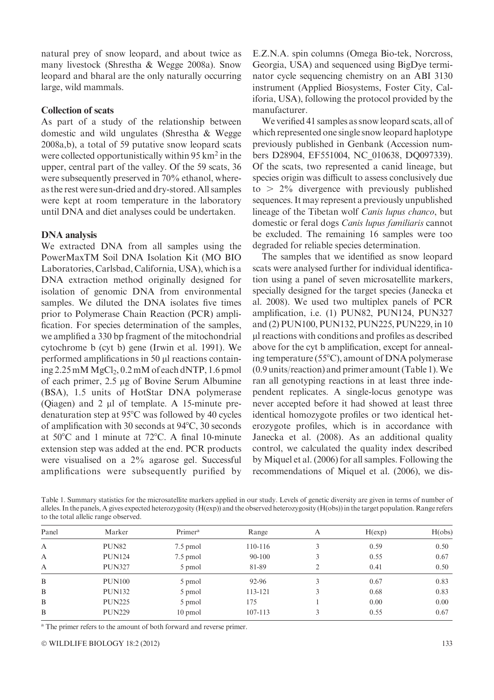natural prey of snow leopard, and about twice as many livestock (Shrestha & Wegge 2008a). Snow leopard and bharal are the only naturally occurring large, wild mammals.

## Collection of scats

As part of a study of the relationship between domestic and wild ungulates (Shrestha & Wegge 2008a,b), a total of 59 putative snow leopard scats were collected opportunistically within 95 km<sup>2</sup> in the upper, central part of the valley. Of the 59 scats, 36 were subsequently preserved in 70% ethanol, whereas the rest were sun-dried and dry-stored. All samples were kept at room temperature in the laboratory until DNA and diet analyses could be undertaken.

#### DNA analysis

We extracted DNA from all samples using the PowerMaxTM Soil DNA Isolation Kit (MO BIO Laboratories, Carlsbad, California, USA), which is a DNA extraction method originally designed for isolation of genomic DNA from environmental samples. We diluted the DNA isolates five times prior to Polymerase Chain Reaction (PCR) amplification. For species determination of the samples, we amplified a 330 bp fragment of the mitochondrial cytochrome b (cyt b) gene (Irwin et al. 1991). We performed amplifications in 50  $\mu$ l reactions containing  $2.25 \text{ mM }MgCl_2$ , 0.2 mM of each dNTP, 1.6 pmol of each primer, 2.5 µg of Bovine Serum Albumine (BSA), 1.5 units of HotStar DNA polymerase (Qiagen) and  $2 \mu l$  of template. A 15-minute predenaturation step at  $95^{\circ}$ C was followed by 40 cycles of amplification with 30 seconds at  $94^{\circ}$ C, 30 seconds at  $50^{\circ}$ C and 1 minute at  $72^{\circ}$ C. A final 10-minute extension step was added at the end. PCR products were visualised on a 2% agarose gel. Successful amplifications were subsequently purified by

E.Z.N.A. spin columns (Omega Bio-tek, Norcross, Georgia, USA) and sequenced using BigDye terminator cycle sequencing chemistry on an ABI 3130 instrument (Applied Biosystems, Foster City, Califoria, USA), following the protocol provided by the manufacturer.

We verified 41 samples as snow leopard scats, all of which represented one single snow leopard haplotype previously published in Genbank (Accession numbers D28904, EF551004, NC\_010638, DQ097339). Of the scats, two represented a canid lineage, but species origin was difficult to assess conclusively due to  $> 2\%$  divergence with previously published sequences. It may represent a previously unpublished lineage of the Tibetan wolf Canis lupus chanco, but domestic or feral dogs Canis lupus familiaris cannot be excluded. The remaining 16 samples were too degraded for reliable species determination.

The samples that we identified as snow leopard scats were analysed further for individual identification using a panel of seven microsatellite markers, specially designed for the target species (Janecka et al. 2008). We used two multiplex panels of PCR amplification, i.e. (1) PUN82, PUN124, PUN327 and (2) PUN100, PUN132, PUN225, PUN229, in 10 ll reactions with conditions and profiles as described above for the cyt b amplification, except for annealing temperature ( $55^{\circ}$ C), amount of DNA polymerase (0.9 units/reaction) and primer amount (Table 1).We ran all genotyping reactions in at least three independent replicates. A single-locus genotype was never accepted before it had showed at least three identical homozygote profiles or two identical heterozygote profiles, which is in accordance with Janecka et al. (2008). As an additional quality control, we calculated the quality index described by Miquel et al. (2006) for all samples. Following the recommendations of Miquel et al. (2006), we dis-

Table 1. Summary statistics for the microsatellite markers applied in our study. Levels of genetic diversity are given in terms of number of alleles. In the panels, A gives expected heterozygosity (H(exp)) and the observed heterozygosity (H(obs)) in the target population. Range refers to the total allelic range observed.

| Panel | Marker            | Primer <sup>a</sup> | Range   | А              | H(exp) | H(obs) |
|-------|-------------------|---------------------|---------|----------------|--------|--------|
| A     | PUN <sub>82</sub> | 7.5 pmol            | 110-116 | 3              | 0.59   | 0.50   |
| A     | <b>PUN124</b>     | 7.5 pmol            | 90-100  |                | 0.55   | 0.67   |
| A     | <b>PUN327</b>     | 5 pmol              | 81-89   | $\overline{2}$ | 0.41   | 0.50   |
| B     | <b>PUN100</b>     | 5 pmol              | 92-96   | 3              | 0.67   | 0.83   |
| B     | <b>PUN132</b>     | 5 pmol              | 113-121 | 3              | 0.68   | 0.83   |
| B     | <b>PUN225</b>     | 5 pmol              | 175     |                | 0.00   | 0.00   |
| B     | <b>PUN229</b>     | 10 pmol             | 107-113 |                | 0.55   | 0.67   |
|       |                   |                     |         |                |        |        |

<sup>a</sup> The primer refers to the amount of both forward and reverse primer.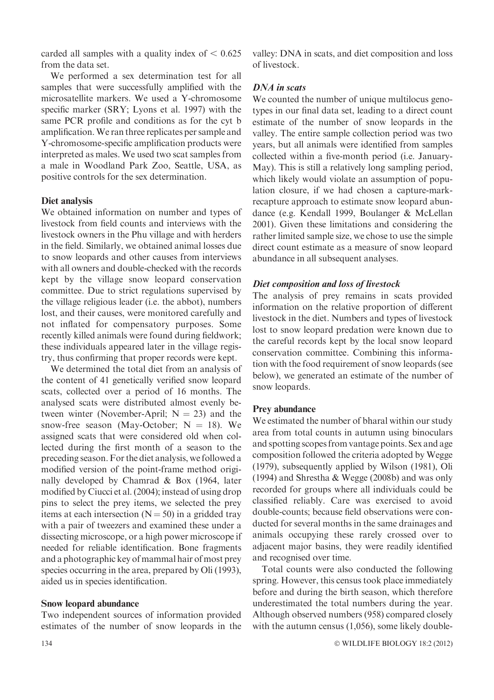carded all samples with a quality index of  $\leq 0.625$ from the data set.

We performed a sex determination test for all samples that were successfully amplified with the microsatellite markers. We used a Y-chromosome specific marker (SRY; Lyons et al. 1997) with the same PCR profile and conditions as for the cyt b amplification.We ran three replicates per sample and Y-chromosome-specific amplification products were interpreted as males. We used two scat samples from a male in Woodland Park Zoo, Seattle, USA, as positive controls for the sex determination.

#### Diet analysis

We obtained information on number and types of livestock from field counts and interviews with the livestock owners in the Phu village and with herders in the field. Similarly, we obtained animal losses due to snow leopards and other causes from interviews with all owners and double-checked with the records kept by the village snow leopard conservation committee. Due to strict regulations supervised by the village religious leader (i.e. the abbot), numbers lost, and their causes, were monitored carefully and not inflated for compensatory purposes. Some recently killed animals were found during fieldwork; these individuals appeared later in the village registry, thus confirming that proper records were kept.

We determined the total diet from an analysis of the content of 41 genetically verified snow leopard scats, collected over a period of 16 months. The analysed scats were distributed almost evenly between winter (November-April;  $N = 23$ ) and the snow-free season (May-October;  $N = 18$ ). We assigned scats that were considered old when collected during the first month of a season to the preceding season. For the diet analysis, we followed a modified version of the point-frame method originally developed by Chamrad & Box (1964, later modified by Ciucci et al. (2004); instead of using drop pins to select the prey items, we selected the prey items at each intersection  $(N = 50)$  in a gridded tray with a pair of tweezers and examined these under a dissecting microscope, or a high power microscope if needed for reliable identification. Bone fragments and a photographic key of mammal hair of most prey species occurring in the area, prepared by Oli (1993), aided us in species identification.

#### Snow leopard abundance

Two independent sources of information provided estimates of the number of snow leopards in the valley: DNA in scats, and diet composition and loss of livestock.

## DNA in scats

We counted the number of unique multilocus genotypes in our final data set, leading to a direct count estimate of the number of snow leopards in the valley. The entire sample collection period was two years, but all animals were identified from samples collected within a five-month period (i.e. January-May). This is still a relatively long sampling period, which likely would violate an assumption of population closure, if we had chosen a capture-markrecapture approach to estimate snow leopard abundance (e.g. Kendall 1999, Boulanger & McLellan 2001). Given these limitations and considering the rather limited sample size, we chose to use the simple direct count estimate as a measure of snow leopard abundance in all subsequent analyses.

#### Diet composition and loss of livestock

The analysis of prey remains in scats provided information on the relative proportion of different livestock in the diet. Numbers and types of livestock lost to snow leopard predation were known due to the careful records kept by the local snow leopard conservation committee. Combining this information with the food requirement of snow leopards (see below), we generated an estimate of the number of snow leopards.

## Prey abundance

We estimated the number of bharal within our study area from total counts in autumn using binoculars and spotting scopes from vantage points. Sex and age composition followed the criteria adopted by Wegge (1979), subsequently applied by Wilson (1981), Oli (1994) and Shrestha & Wegge (2008b) and was only recorded for groups where all individuals could be classified reliably. Care was exercised to avoid double-counts; because field observations were conducted for several months in the same drainages and animals occupying these rarely crossed over to adjacent major basins, they were readily identified and recognised over time.

Total counts were also conducted the following spring. However, this census took place immediately before and during the birth season, which therefore underestimated the total numbers during the year. Although observed numbers (958) compared closely with the autumn census (1,056), some likely double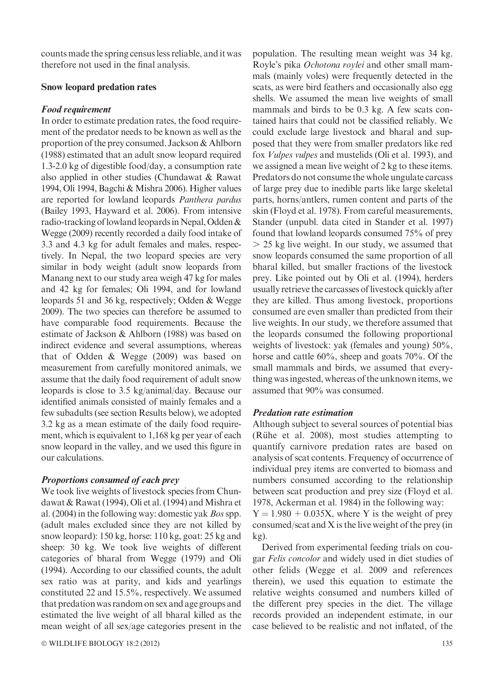counts made the spring census less reliable, and it was therefore not used in the final analysis.

### Snow leopard predation rates

#### Food requirement

In order to estimate predation rates, the food requirement of the predator needs to be known as well as the proportion of the prey consumed. Jackson & Ahlborn (1988) estimated that an adult snow leopard required 1.3-2.0 kg of digestible food/day, a consumption rate also applied in other studies (Chundawat & Rawat 1994, Oli 1994, Bagchi & Mishra 2006). Higher values are reported for lowland leopards Panthera pardus (Bailey 1993, Hayward et al. 2006). From intensive radio-tracking of lowland leopards in Nepal, Odden & Wegge (2009) recently recorded a daily food intake of 3.3 and 4.3 kg for adult females and males, respectively. In Nepal, the two leopard species are very similar in body weight (adult snow leopards from Manang next to our study area weigh 47 kg for males and 42 kg for females; Oli 1994, and for lowland leopards 51 and 36 kg, respectively; Odden & Wegge 2009). The two species can therefore be assumed to have comparable food requirements. Because the estimate of Jackson & Ahlborn (1988) was based on indirect evidence and several assumptions, whereas that of Odden & Wegge (2009) was based on measurement from carefully monitored animals, we assume that the daily food requirement of adult snow leopards is close to 3.5 kg/animal/day. Because our identified animals consisted of mainly females and a few subadults (see section Results below), we adopted 3.2 kg as a mean estimate of the daily food requirement, which is equivalent to 1,168 kg per year of each snow leopard in the valley, and we used this figure in our calculations.

## Proportions consumed of each prey

We took live weights of livestock species from Chundawat & Rawat (1994), Oli et al. (1994) and Mishra et al. (2004) in the following way: domestic yak Bosspp. (adult males excluded since they are not killed by snow leopard): 150 kg, horse: 110 kg, goat: 25 kg and sheep: 30 kg. We took live weights of different categories of bharal from Wegge (1979) and Oli (1994). According to our classified counts, the adult sex ratio was at parity, and kids and yearlings constituted 22 and 15.5%, respectively. We assumed that predation was random on sex and age groups and estimated the live weight of all bharal killed as the mean weight of all sex/age categories present in the

© WILDLIFE BIOLOGY 18:2 (2012) 135

population. The resulting mean weight was 34 kg. Royle's pika *Ochotona roylei* and other small mammals (mainly voles) were frequently detected in the scats, as were bird feathers and occasionally also egg shells. We assumed the mean live weights of small mammals and birds to be 0.3 kg. A few scats contained hairs that could not be classified reliably. We could exclude large livestock and bharal and supposed that they were from smaller predators like red fox Vulpes vulpes and mustelids (Oli et al. 1993), and we assigned a mean live weight of 2 kg to these items. Predators do not consume the whole ungulate carcass of large prey due to inedible parts like large skeletal parts, horns/antlers, rumen content and parts of the skin (Floyd et al. 1978). From careful measurements, Stander (unpubl. data cited in Stander et al. 1997) found that lowland leopards consumed 75% of prey  $>$  25 kg live weight. In our study, we assumed that snow leopards consumed the same proportion of all bharal killed, but smaller fractions of the livestock prey. Like pointed out by Oli et al. (1994), herders usually retrieve the carcasses of livestock quickly after they are killed. Thus among livestock, proportions consumed are even smaller than predicted from their live weights. In our study, we therefore assumed that the leopards consumed the following proportional weights of livestock: yak (females and young) 50%, horse and cattle 60%, sheep and goats 70%. Of the small mammals and birds, we assumed that everything was ingested, whereas of the unknown items, we assumed that 90% was consumed.

## Predation rate estimation

Although subject to several sources of potential bias (Rühe et al. 2008), most studies attempting to quantify carnivore predation rates are based on analysis of scat contents. Frequency of occurrence of individual prey items are converted to biomass and numbers consumed according to the relationship between scat production and prey size (Floyd et al. 1978, Ackerman et al. 1984) in the following way:  $Y = 1.980 + 0.035X$ , where Y is the weight of prey consumed/scat and X is the live weight of the prey (in kg).

Derived from experimental feeding trials on cougar Felis concolor and widely used in diet studies of other felids (Wegge et al. 2009 and references therein), we used this equation to estimate the relative weights consumed and numbers killed of the different prey species in the diet. The village records provided an independent estimate, in our case believed to be realistic and not inflated, of the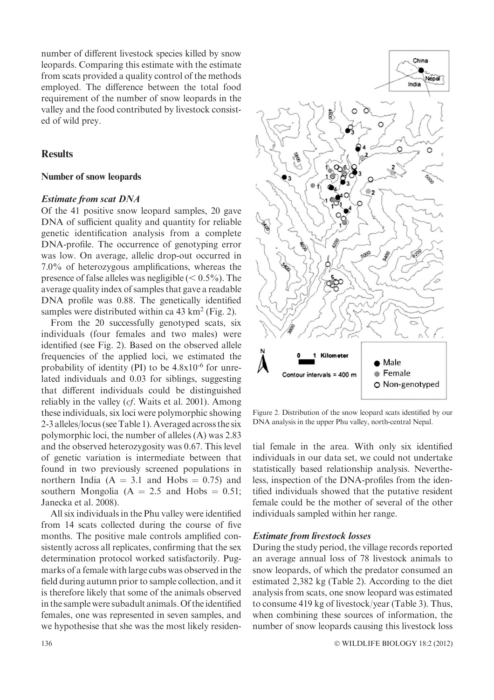number of different livestock species killed by snow leopards. Comparing this estimate with the estimate from scats provided a quality control of the methods employed. The difference between the total food requirement of the number of snow leopards in the valley and the food contributed by livestock consisted of wild prey.

## **Results**

## Number of snow leopards

# Estimate from scat DNA

Of the 41 positive snow leopard samples, 20 gave DNA of sufficient quality and quantity for reliable genetic identification analysis from a complete DNA-profile. The occurrence of genotyping error was low. On average, allelic drop-out occurred in 7.0% of heterozygous amplifications, whereas the presence of false alleles was negligible  $(< 0.5\%$ ). The average quality index of samples that gave a readable DNA profile was 0.88. The genetically identified samples were distributed within ca  $43 \text{ km}^2$  (Fig. 2).

From the 20 successfully genotyped scats, six individuals (four females and two males) were identified (see Fig. 2). Based on the observed allele frequencies of the applied loci, we estimated the probability of identity  $(PI)$  to be  $4.8x10^{-6}$  for unrelated individuals and 0.03 for siblings, suggesting that different individuals could be distinguished reliably in the valley (cf. Waits et al. 2001). Among these individuals, six loci were polymorphic showing 2-3 alleles/locus (see Table 1). Averaged across the six polymorphic loci, the number of alleles (A) was 2.83 and the observed heterozygosity was 0.67. This level of genetic variation is intermediate between that found in two previously screened populations in northern India  $(A = 3.1$  and Hobs  $= 0.75$  and southern Mongolia  $(A = 2.5$  and Hobs  $= 0.51$ ; Janecka et al. 2008).

All six individuals in the Phu valley were identified from 14 scats collected during the course of five months. The positive male controls amplified consistently across all replicates, confirming that the sex determination protocol worked satisfactorily. Pugmarks of a female with large cubs was observed in the field during autumn prior to sample collection, and it is therefore likely that some of the animals observed in the sample were subadult animals. Of the identified females, one was represented in seven samples, and we hypothesise that she was the most likely residen-



Figure 2. Distribution of the snow leopard scats identified by our DNA analysis in the upper Phu valley, north-central Nepal.

tial female in the area. With only six identified individuals in our data set, we could not undertake statistically based relationship analysis. Nevertheless, inspection of the DNA-profiles from the identified individuals showed that the putative resident female could be the mother of several of the other individuals sampled within her range.

## Estimate from livestock losses

During the study period, the village records reported an average annual loss of 78 livestock animals to snow leopards, of which the predator consumed an estimated 2,382 kg (Table 2). According to the diet analysis from scats, one snow leopard was estimated to consume 419 kg of livestock/year (Table 3). Thus, when combining these sources of information, the number of snow leopards causing this livestock loss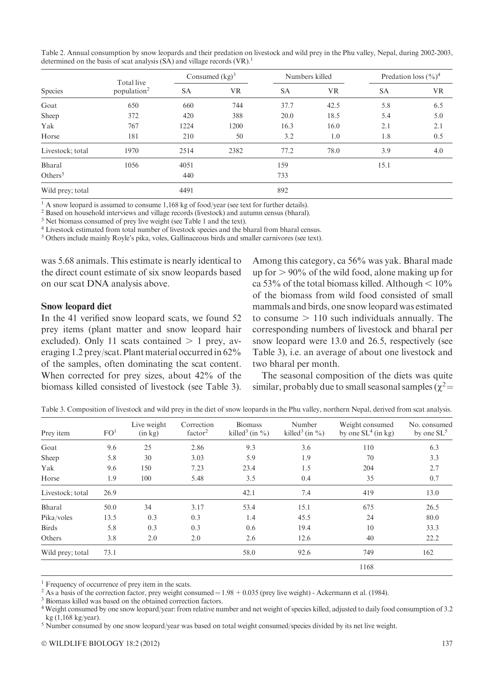| Table 2. Annual consumption by snow leopards and their predation on livestock and wild prey in the Phu valley, Nepal, during 2002-2003, |  |
|-----------------------------------------------------------------------------------------------------------------------------------------|--|
| determined on the basis of scat analysis $(SA)$ and village records $(VR)$ . <sup>1</sup>                                               |  |

|                  | Total live              | Consumed $(kg)^3$ |           | Numbers killed |           | Predation loss $(\frac{6}{6})^4$ |           |
|------------------|-------------------------|-------------------|-----------|----------------|-----------|----------------------------------|-----------|
| Species          | population <sup>2</sup> | SA                | <b>VR</b> | <b>SA</b>      | <b>VR</b> | <b>SA</b>                        | <b>VR</b> |
| Goat             | 650                     | 660               | 744       | 37.7           | 42.5      | 5.8                              | 6.5       |
| Sheep            | 372                     | 420               | 388       | 20.0           | 18.5      | 5.4                              | 5.0       |
| Yak              | 767                     | 1224              | 1200      | 16.3           | 16.0      | 2.1                              | 2.1       |
| Horse            | 181                     | 210               | 50        | 3.2            | 1.0       | 1.8                              | 0.5       |
| Livestock; total | 1970                    | 2514              | 2382      | 77.2           | 78.0      | 3.9                              | 4.0       |
| Bharal           | 1056                    | 4051              |           | 159            |           | 15.1                             |           |
| Others $5$       |                         | 440               |           | 733            |           |                                  |           |
| Wild prey; total |                         | 4491              |           | 892            |           |                                  |           |

<sup>1</sup> A snow leopard is assumed to consume 1,168 kg of food/year (see text for further details).

<sup>2</sup> Based on household interviews and village records (livestock) and autumn census (bharal).

<sup>3</sup> Net biomass consumed of prey live weight (see Table 1 and the text).

<sup>4</sup> Livestock estimated from total number of livestock species and the bharal from bharal census.

<sup>5</sup> Others include mainly Royle's pika, voles, Gallinaceous birds and smaller carnivores (see text).

was 5.68 animals. This estimate is nearly identical to the direct count estimate of six snow leopards based on our scat DNA analysis above.

#### Snow leopard diet

In the 41 verified snow leopard scats, we found 52 prey items (plant matter and snow leopard hair excluded). Only 11 scats contained  $> 1$  prey, averaging 1.2 prey/scat. Plant material occurred in 62% of the samples, often dominating the scat content. When corrected for prey sizes, about 42% of the biomass killed consisted of livestock (see Table 3).

Among this category, ca 56% was yak. Bharal made up for  $> 90\%$  of the wild food, alone making up for ca 53% of the total biomass killed. Although  $\leq 10\%$ of the biomass from wild food consisted of small mammals and birds, one snow leopard was estimated to consume  $> 110$  such individuals annually. The corresponding numbers of livestock and bharal per snow leopard were 13.0 and 26.5, respectively (see Table 3), i.e. an average of about one livestock and two bharal per month.

The seasonal composition of the diets was quite similar, probably due to small seasonal samples ( $\chi^2$  =

| Prey item        | FO <sup>1</sup> | Live weight<br>(in kg) | Correction<br>factor <sup>2</sup> | <b>Biomass</b><br>killed <sup>3</sup> (in $\%$ ) | Number<br>killed <sup>3</sup> (in $\%$ ) | Weight consumed<br>by one $SL4$ (in kg) | No. consumed<br>by one $SL^5$ |
|------------------|-----------------|------------------------|-----------------------------------|--------------------------------------------------|------------------------------------------|-----------------------------------------|-------------------------------|
| Goat             | 9.6             | 25                     | 2.86                              | 9.3                                              | 3.6                                      | 110                                     | 6.3                           |
| Sheep            | 5.8             | 30                     | 3.03                              | 5.9                                              | 1.9                                      | 70                                      | 3.3                           |
| Yak              | 9.6             | 150                    | 7.23                              | 23.4                                             | 1.5                                      | 204                                     | 2.7                           |
| Horse            | 1.9             | 100                    | 5.48                              | 3.5                                              | 0.4                                      | 35                                      | 0.7                           |
| Livestock; total | 26.9            |                        |                                   | 42.1                                             | 7.4                                      | 419                                     | 13.0                          |
| Bharal           | 50.0            | 34                     | 3.17                              | 53.4                                             | 15.1                                     | 675                                     | 26.5                          |
| Pika/voles       | 13.5            | 0.3                    | 0.3                               | 1.4                                              | 45.5                                     | 24                                      | 80.0                          |
| <b>Birds</b>     | 5.8             | 0.3                    | 0.3                               | 0.6                                              | 19.4                                     | 10                                      | 33.3                          |
| Others           | 3.8             | 2.0                    | 2.0                               | 2.6                                              | 12.6                                     | 40                                      | 22.2                          |
| Wild prey; total | 73.1            |                        |                                   | 58.0                                             | 92.6                                     | 749                                     | 162                           |
|                  |                 |                        |                                   |                                                  |                                          | 1168                                    |                               |

Table 3. Composition of livestock and wild prey in the diet of snow leopards in the Phu valley, northern Nepal, derived from scat analysis.

<sup>1</sup> Frequency of occurrence of prey item in the scats.

<sup>2</sup> As a basis of the correction factor, prey weight consumed =  $1.98 + 0.035$  (prey live weight) - Ackermann et al. (1984). <sup>3</sup> Biomass killed was based on the obtained correction factors.

<sup>5</sup> Number consumed by one snow leopard/year was based on total weight consumed/species divided by its net live weight.

<sup>4</sup> Weight consumed by one snow leopard/year: from relative number and net weight of species killed, adjusted to daily food consumption of 3.2 kg (1,168 kg/year).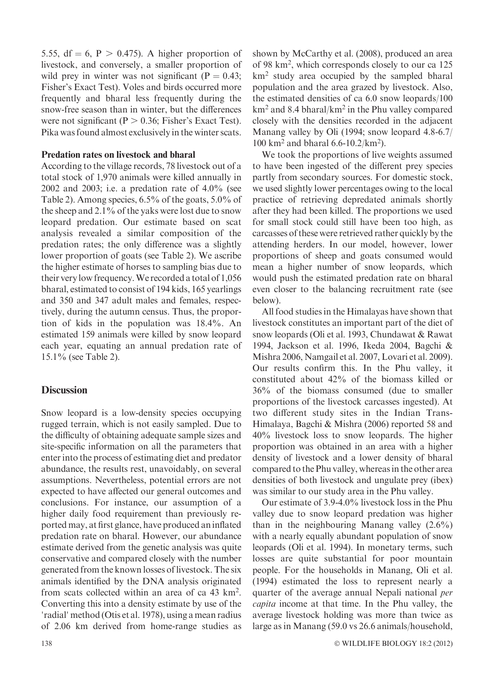5.55, df = 6, P  $> 0.475$ ). A higher proportion of livestock, and conversely, a smaller proportion of wild prey in winter was not significant ( $P = 0.43$ ; Fisher's Exact Test). Voles and birds occurred more frequently and bharal less frequently during the snow-free season than in winter, but the differences were not significant ( $P > 0.36$ ; Fisher's Exact Test). Pika was found almost exclusively in the winter scats.

### Predation rates on livestock and bharal

According to the village records, 78 livestock out of a total stock of 1,970 animals were killed annually in 2002 and 2003; i.e. a predation rate of  $4.0\%$  (see Table 2). Among species, 6.5% of the goats, 5.0% of the sheep and 2.1% of the yaks were lost due to snow leopard predation. Our estimate based on scat analysis revealed a similar composition of the predation rates; the only difference was a slightly lower proportion of goats (see Table 2). We ascribe the higher estimate of horses to sampling bias due to their very low frequency.We recorded a total of 1,056 bharal, estimated to consist of 194 kids, 165 yearlings and 350 and 347 adult males and females, respectively, during the autumn census. Thus, the proportion of kids in the population was 18.4%. An estimated 159 animals were killed by snow leopard each year, equating an annual predation rate of 15.1% (see Table 2).

## **Discussion**

Snow leopard is a low-density species occupying rugged terrain, which is not easily sampled. Due to the difficulty of obtaining adequate sample sizes and site-specific information on all the parameters that enter into the process of estimating diet and predator abundance, the results rest, unavoidably, on several assumptions. Nevertheless, potential errors are not expected to have affected our general outcomes and conclusions. For instance, our assumption of a higher daily food requirement than previously reported may, at first glance, have produced an inflated predation rate on bharal. However, our abundance estimate derived from the genetic analysis was quite conservative and compared closely with the number generated from the known losses of livestock. The six animals identified by the DNA analysis originated from scats collected within an area of ca 43 km2 . Converting this into a density estimate by use of the 'radial' method (Otis et al. 1978), using a mean radius of 2.06 km derived from home-range studies as shown by McCarthy et al. (2008), produced an area of 98 km<sup>2</sup>, which corresponds closely to our ca 125 km2 study area occupied by the sampled bharal population and the area grazed by livestock. Also, the estimated densities of ca 6.0 snow leopards/100 km2 and 8.4 bharal/km2 in the Phu valley compared closely with the densities recorded in the adjacent Manang valley by Oli (1994; snow leopard 4.8-6.7/ 100 km2 and bharal 6.6-10.2/km2 ).

We took the proportions of live weights assumed to have been ingested of the different prey species partly from secondary sources. For domestic stock, we used slightly lower percentages owing to the local practice of retrieving depredated animals shortly after they had been killed. The proportions we used for small stock could still have been too high, as carcasses of these were retrieved rather quickly by the attending herders. In our model, however, lower proportions of sheep and goats consumed would mean a higher number of snow leopards, which would push the estimated predation rate on bharal even closer to the balancing recruitment rate (see below).

All food studies in the Himalayas have shown that livestock constitutes an important part of the diet of snow leopards (Oli et al. 1993, Chundawat & Rawat 1994, Jackson et al. 1996, Ikeda 2004, Bagchi & Mishra 2006, Namgail et al. 2007, Lovari et al. 2009). Our results confirm this. In the Phu valley, it constituted about 42% of the biomass killed or 36% of the biomass consumed (due to smaller proportions of the livestock carcasses ingested). At two different study sites in the Indian Trans-Himalaya, Bagchi & Mishra (2006) reported 58 and 40% livestock loss to snow leopards. The higher proportion was obtained in an area with a higher density of livestock and a lower density of bharal compared to the Phu valley, whereas in the other area densities of both livestock and ungulate prey (ibex) was similar to our study area in the Phu valley.

Our estimate of 3.9-4.0% livestock loss in the Phu valley due to snow leopard predation was higher than in the neighbouring Manang valley (2.6%) with a nearly equally abundant population of snow leopards (Oli et al. 1994). In monetary terms, such losses are quite substantial for poor mountain people. For the households in Manang, Oli et al. (1994) estimated the loss to represent nearly a quarter of the average annual Nepali national per capita income at that time. In the Phu valley, the average livestock holding was more than twice as large as in Manang (59.0 vs 26.6 animals/household,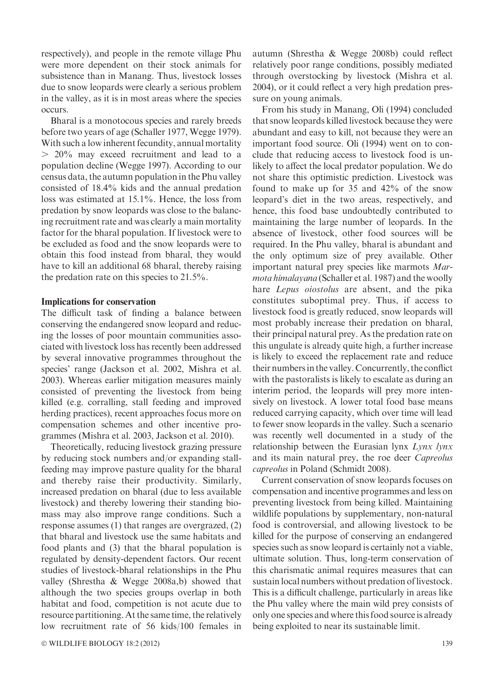respectively), and people in the remote village Phu were more dependent on their stock animals for subsistence than in Manang. Thus, livestock losses due to snow leopards were clearly a serious problem in the valley, as it is in most areas where the species occurs.

Bharal is a monotocous species and rarely breeds before two years of age (Schaller 1977, Wegge 1979). With such a low inherent fecundity, annual mortality  $> 20\%$  may exceed recruitment and lead to a population decline (Wegge 1997). According to our census data, the autumn population in the Phu valley consisted of 18.4% kids and the annual predation loss was estimated at 15.1%. Hence, the loss from predation by snow leopards was close to the balancing recruitment rate and was clearly a main mortality factor for the bharal population. If livestock were to be excluded as food and the snow leopards were to obtain this food instead from bharal, they would have to kill an additional 68 bharal, thereby raising the predation rate on this species to 21.5%.

#### Implications for conservation

The difficult task of finding a balance between conserving the endangered snow leopard and reducing the losses of poor mountain communities associated with livestock loss has recently been addressed by several innovative programmes throughout the species' range (Jackson et al. 2002, Mishra et al. 2003). Whereas earlier mitigation measures mainly consisted of preventing the livestock from being killed (e.g. corralling, stall feeding and improved herding practices), recent approaches focus more on compensation schemes and other incentive programmes (Mishra et al. 2003, Jackson et al. 2010).

Theoretically, reducing livestock grazing pressure by reducing stock numbers and/or expanding stallfeeding may improve pasture quality for the bharal and thereby raise their productivity. Similarly, increased predation on bharal (due to less available livestock) and thereby lowering their standing biomass may also improve range conditions. Such a response assumes (1) that ranges are overgrazed, (2) that bharal and livestock use the same habitats and food plants and (3) that the bharal population is regulated by density-dependent factors. Our recent studies of livestock-bharal relationships in the Phu valley (Shrestha & Wegge 2008a,b) showed that although the two species groups overlap in both habitat and food, competition is not acute due to resource partitioning. At the same time, the relatively low recruitment rate of 56 kids/100 females in

© WILDLIFE BIOLOGY 18:2 (2012) 139

autumn (Shrestha & Wegge 2008b) could reflect relatively poor range conditions, possibly mediated through overstocking by livestock (Mishra et al. 2004), or it could reflect a very high predation pressure on young animals.

From his study in Manang, Oli (1994) concluded that snow leopards killed livestock because they were abundant and easy to kill, not because they were an important food source. Oli (1994) went on to conclude that reducing access to livestock food is unlikely to affect the local predator population. We do not share this optimistic prediction. Livestock was found to make up for 35 and 42% of the snow leopard's diet in the two areas, respectively, and hence, this food base undoubtedly contributed to maintaining the large number of leopards. In the absence of livestock, other food sources will be required. In the Phu valley, bharal is abundant and the only optimum size of prey available. Other important natural prey species like marmots Marmota himalayana (Schaller et al. 1987) and the woolly hare *Lepus oiostolus* are absent, and the pika constitutes suboptimal prey. Thus, if access to livestock food is greatly reduced, snow leopards will most probably increase their predation on bharal, their principal natural prey. As the predation rate on this ungulate is already quite high, a further increase is likely to exceed the replacement rate and reduce their numbers in the valley. Concurrently, the conflict with the pastoralists is likely to escalate as during an interim period, the leopards will prey more intensively on livestock. A lower total food base means reduced carrying capacity, which over time will lead to fewer snow leopards in the valley. Such a scenario was recently well documented in a study of the relationship between the Eurasian lynx Lynx lynx and its main natural prey, the roe deer Capreolus capreolus in Poland (Schmidt 2008).

Current conservation of snow leopards focuses on compensation and incentive programmes and less on preventing livestock from being killed. Maintaining wildlife populations by supplementary, non-natural food is controversial, and allowing livestock to be killed for the purpose of conserving an endangered species such as snow leopard is certainly not a viable, ultimate solution. Thus, long-term conservation of this charismatic animal requires measures that can sustain local numbers without predation of livestock. This is a difficult challenge, particularly in areas like the Phu valley where the main wild prey consists of only one species and where this food source is already being exploited to near its sustainable limit.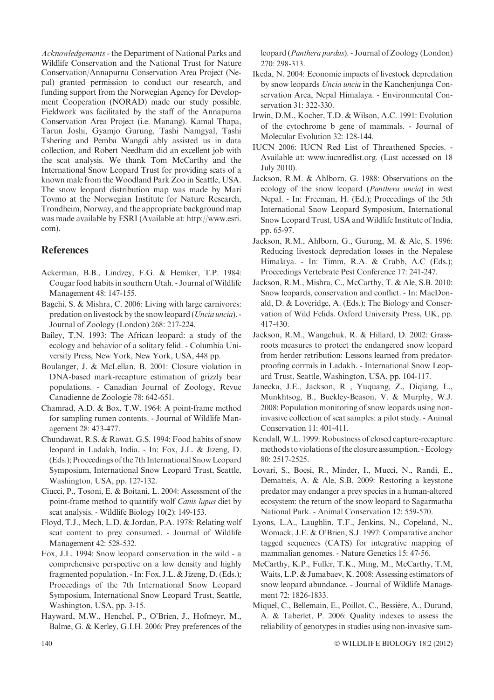Acknowledgements - the Department of National Parks and Wildlife Conservation and the National Trust for Nature Conservation/Annapurna Conservation Area Project (Nepal) granted permission to conduct our research, and funding support from the Norwegian Agency for Development Cooperation (NORAD) made our study possible. Fieldwork was facilitated by the staff of the Annapurna Conservation Area Project (i.e. Manang). Kamal Thapa, Tarun Joshi, Gyamjo Gurung, Tashi Namgyal, Tashi Tshering and Pemba Wangdi ably assisted us in data collection, and Robert Needham did an excellent job with the scat analysis. We thank Tom McCarthy and the International Snow Leopard Trust for providing scats of a known male from the Woodland Park Zoo in Seattle, USA. The snow leopard distribution map was made by Mari Tovmo at the Norwegian Institute for Nature Research, Trondheim, Norway, and the appropriate background map was made available by ESRI (Available at: http://www.esri. com).

## **References**

- Ackerman, B.B., Lindzey, F.G. & Hemker, T.P. 1984: Cougar food habits in southern Utah. - Journal ofWildlife Management 48: 147-155.
- Bagchi, S. & Mishra, C. 2006: Living with large carnivores: predation on livestock by the snow leopard (Uncia uncia). Journal of Zoology (London) 268: 217-224.
- Bailey, T.N. 1993: The African leopard: a study of the ecology and behavior of a solitary felid. - Columbia University Press, New York, New York, USA, 448 pp.
- Boulanger, J. & McLellan, B. 2001: Closure violation in DNA-based mark-recapture estimation of grizzly bear populations. - Canadian Journal of Zoology, Revue Canadienne de Zoologie 78: 642-651.
- Chamrad, A.D. & Box, T.W. 1964: A point-frame method for sampling rumen contents. - Journal of Wildlife Management 28: 473-477.
- Chundawat, R.S. & Rawat, G.S. 1994: Food habits of snow leopard in Ladakh, India. - In: Fox, J.L. & Jizeng, D. (Eds.); Proceedings of the 7th International Snow Leopard Symposium, International Snow Leopard Trust, Seattle, Washington, USA, pp. 127-132.
- Ciucci, P., Tosoni, E. & Boitani, L. 2004: Assessment of the point-frame method to quantify wolf Canis lupus diet by scat analysis. - Wildlife Biology 10(2): 149-153.
- Floyd, T.J., Mech, L.D. & Jordan, P.A. 1978: Relating wolf scat content to prey consumed. - Journal of Wildlife Management 42: 528-532.
- Fox, J.L. 1994: Snow leopard conservation in the wild a comprehensive perspective on a low density and highly fragmented population. - In: Fox, J.L. & Jizeng, D. (Eds.); Proceedings of the 7th International Snow Leopard Symposium, International Snow Leopard Trust, Seattle, Washington, USA, pp. 3-15.
- Hayward, M.W., Henchel, P., O'Brien, J., Hofmeyr, M., Balme, G. & Kerley, G.I.H. 2006: Prey preferences of the

leopard (Panthera pardus). - Journal of Zoology (London) 270: 298-313.

- Ikeda, N. 2004: Economic impacts of livestock depredation by snow leopards Uncia uncia in the Kanchenjunga Conservation Area, Nepal Himalaya. - Environmental Conservation 31: 322-330.
- Irwin, D.M., Kocher, T.D. & Wilson, A.C. 1991: Evolution of the cytochrome b gene of mammals. - Journal of Molecular Evolution 32: 128-144.
- IUCN 2006: IUCN Red List of Threathened Species. Available at: www.iucnredlist.org. (Last accessed on 18 July 2010).
- Jackson, R.M. & Ahlborn, G. 1988: Observations on the ecology of the snow leopard (Panthera uncia) in west Nepal. - In: Freeman, H. (Ed.); Proceedings of the 5th International Snow Leopard Symposium, International Snow Leopard Trust, USA and Wildlife Institute of India, pp. 65-97.
- Jackson, R.M., Ahlborn, G., Gurung, M. & Ale, S. 1996: Reducing livestock depredation losses in the Nepalese Himalaya. - In: Timm, R.A. & Crabb, A.C (Eds.); Proceedings Vertebrate Pest Conference 17: 241-247.
- Jackson, R.M., Mishra, C., McCarthy, T. & Ale, S.B. 2010: Snow leopards, conservation and conflict. - In: MacDonald, D. & Loveridge, A. (Eds.); The Biology and Conservation of Wild Felids. Oxford University Press, UK, pp. 417-430.
- Jackson, R.M., Wangchuk, R. & Hillard, D. 2002: Grassroots measures to protect the endangered snow leopard from herder retribution: Lessons learned from predatorproofing corrrals in Ladakh. - International Snow Leopard Trust, Seattle, Washington, USA, pp. 104-117.
- Janecka, J.E., Jackson, R , Yuquang, Z., Diqiang, L., Munkhtsog, B., Buckley-Beason, V. & Murphy, W.J. 2008: Population monitoring of snow leopards using noninvasive collection of scat samples: a pilot study. - Animal Conservation 11: 401-411.
- Kendall, W.L. 1999: Robustness of closed capture-recapture methods to violations of the closure assumption. - Ecology 80: 2517-2525.
- Lovari, S., Boesi, R., Minder, I., Mucci, N., Randi, E., Dematteis, A. & Ale, S.B. 2009: Restoring a keystone predator may endanger a prey species in a human-altered ecosystem: the return of the snow leopard to Sagarmatha National Park. - Animal Conservation 12: 559-570.
- Lyons, L.A., Laughlin, T.F., Jenkins, N., Copeland, N., Womack, J.E. & O'Brien, S.J. 1997: Comparative anchor tagged sequences (CATS) for integrative mapping of mammalian genomes. - Nature Genetics 15: 47-56.
- McCarthy, K.P., Fuller, T.K., Ming, M., McCarthy, T.M, Waits, L.P. & Jumabaev, K. 2008: Assessing estimators of snow leopard abundance. - Journal of Wildlife Management 72: 1826-1833.
- Miquel, C., Bellemain, E., Poillot, C., Bessiére, A., Durand, A. & Taberlet, P. 2006: Quality indexes to assess the reliability of genotypes in studies using non-invasive sam-